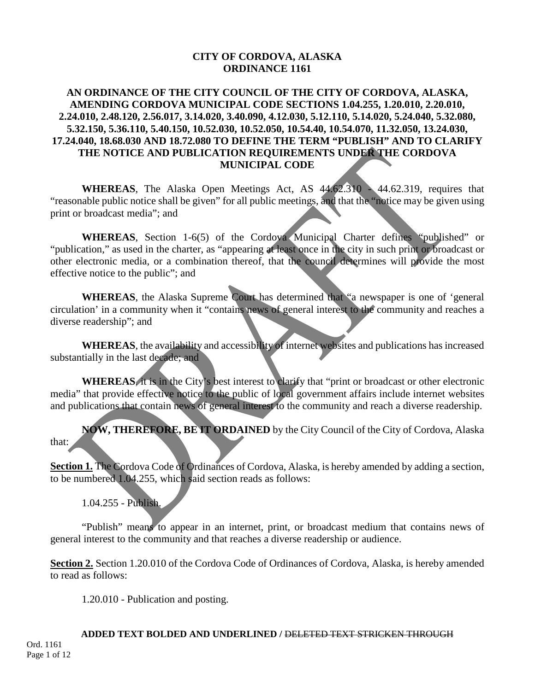## **CITY OF CORDOVA, ALASKA ORDINANCE 1161**

## **AN ORDINANCE OF THE CITY COUNCIL OF THE CITY OF CORDOVA, ALASKA, AMENDING CORDOVA MUNICIPAL CODE SECTIONS 1.04.255, 1.20.010, 2.20.010, 2.24.010, 2.48.120, 2.56.017, 3.14.020, 3.40.090, 4.12.030, 5.12.110, 5.14.020, 5.24.040, 5.32.080, 5.32.150, 5.36.110, 5.40.150, 10.52.030, 10.52.050, 10.54.40, 10.54.070, 11.32.050, 13.24.030, 17.24.040, 18.68.030 AND 18.72.080 TO DEFINE THE TERM "PUBLISH" AND TO CLARIFY THE NOTICE AND PUBLICATION REQUIREMENTS UNDER THE CORDOVA MUNICIPAL CODE**

**WHEREAS**, The Alaska Open Meetings Act, AS 44.62.310 - 44.62.319, requires that "reasonable public notice shall be given" for all public meetings, and that the "notice may be given using print or broadcast media"; and

**WHEREAS**, Section 1-6(5) of the Cordova Municipal Charter defines "published" or "publication," as used in the charter, as "appearing at least once in the city in such print or broadcast or other electronic media, or a combination thereof, that the council determines will provide the most effective notice to the public"; and

**WHEREAS**, the Alaska Supreme Court has determined that "a newspaper is one of 'general circulation' in a community when it "contains news of general interest to the community and reaches a diverse readership"; and

**WHEREAS**, the availability and accessibility of internet websites and publications has increased substantially in the last decade; and

**WHEREAS**, it is in the City's best interest to clarify that "print or broadcast or other electronic media" that provide effective notice to the public of local government affairs include internet websites and publications that contain news of general interest to the community and reach a diverse readership.

**NOW, THEREFORE, BE IT ORDAINED** by the City Council of the City of Cordova, Alaska that:

**Section 1.** The Cordova Code of Ordinances of Cordova, Alaska, is hereby amended by adding a section, to be numbered 1.04.255, which said section reads as follows:

1.04.255 - Publish.

"Publish" means to appear in an internet, print, or broadcast medium that contains news of general interest to the community and that reaches a diverse readership or audience.

**Section 2.** Section 1.20.010 of the Cordova Code of Ordinances of Cordova, Alaska, is hereby amended to read as follows:

1.20.010 - Publication and posting.

**ADDED TEXT BOLDED AND UNDERLINED /** DELETED TEXT STRICKEN THROUGH Ord. 1161 Page 1 of 12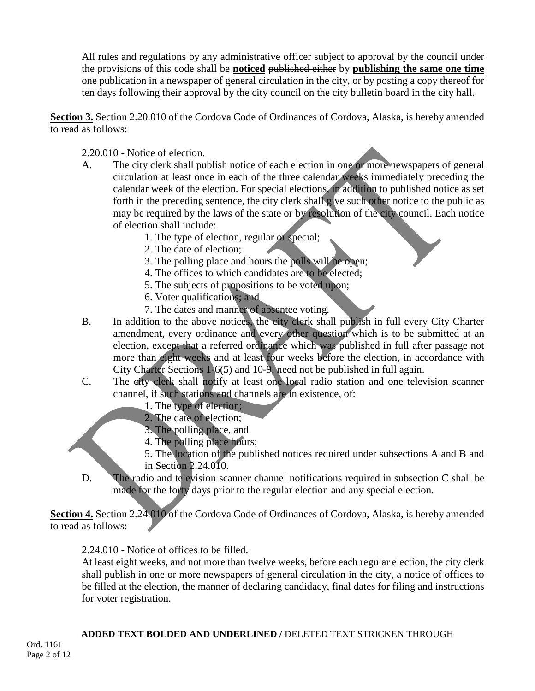All rules and regulations by any administrative officer subject to approval by the council under the provisions of this code shall be **noticed** published either by **publishing the same one time** one publication in a newspaper of general circulation in the city, or by posting a copy thereof for ten days following their approval by the city council on the city bulletin board in the city hall.

**Section 3.** Section 2.20.010 of the Cordova Code of Ordinances of Cordova, Alaska, is hereby amended to read as follows:

2.20.010 - Notice of election.

- A. The city clerk shall publish notice of each election in one or more newspapers of general circulation at least once in each of the three calendar weeks immediately preceding the calendar week of the election. For special elections, in addition to published notice as set forth in the preceding sentence, the city clerk shall give such other notice to the public as may be required by the laws of the state or by resolution of the city council. Each notice of election shall include:
	- 1. The type of election, regular or special;
	- 2. The date of election;
	- 3. The polling place and hours the polls will be open;
	- 4. The offices to which candidates are to be elected;
	- 5. The subjects of propositions to be voted upon;
	- 6. Voter qualifications; and
	- 7. The dates and manner of absentee voting.
- B. In addition to the above notices, the city clerk shall publish in full every City Charter amendment, every ordinance and every other question which is to be submitted at an election, except that a referred ordinance which was published in full after passage not more than eight weeks and at least four weeks before the election, in accordance with City Charter Sections 1-6(5) and 10-9, need not be published in full again.
- C. The city clerk shall notify at least one local radio station and one television scanner channel, if such stations and channels are in existence, of:
	- 1. The type of election;
	- 2. The date of election;
	- 3. The polling place, and
	- 4. The polling place hours;
	- 5. The location of the published notices required under subsections A and B and in Section 2.24.010.
- D. The radio and television scanner channel notifications required in subsection C shall be made for the forty days prior to the regular election and any special election.

Section 4. Section 2.24.010 of the Cordova Code of Ordinances of Cordova, Alaska, is hereby amended to read as follows:

2.24.010 - Notice of offices to be filled.

At least eight weeks, and not more than twelve weeks, before each regular election, the city clerk shall publish in one or more newspapers of general circulation in the city, a notice of offices to be filled at the election, the manner of declaring candidacy, final dates for filing and instructions for voter registration.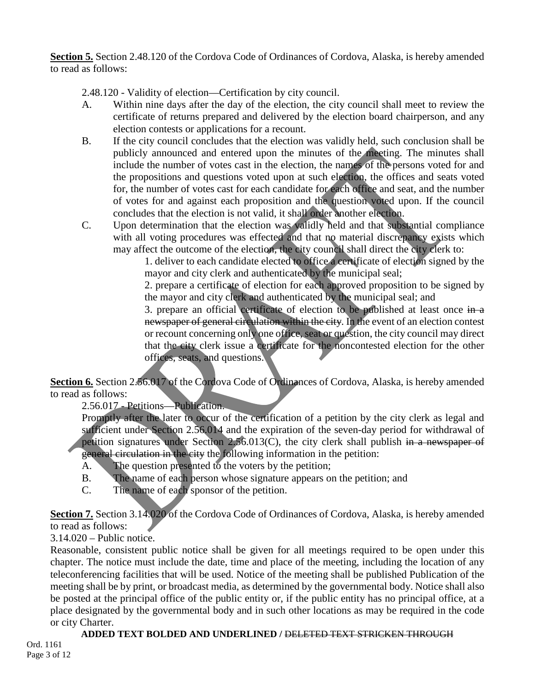**Section 5.** Section 2.48.120 of the Cordova Code of Ordinances of Cordova, Alaska, is hereby amended to read as follows:

2.48.120 - Validity of election—Certification by city council.

- A. Within nine days after the day of the election, the city council shall meet to review the certificate of returns prepared and delivered by the election board chairperson, and any election contests or applications for a recount.
- B. If the city council concludes that the election was validly held, such conclusion shall be publicly announced and entered upon the minutes of the meeting. The minutes shall include the number of votes cast in the election, the names of the persons voted for and the propositions and questions voted upon at such election, the offices and seats voted for, the number of votes cast for each candidate for each office and seat, and the number of votes for and against each proposition and the question voted upon. If the council concludes that the election is not valid, it shall order another election.
- C. Upon determination that the election was validly held and that substantial compliance with all voting procedures was effected and that no material discrepancy exists which may affect the outcome of the election, the city council shall direct the city clerk to:

1. deliver to each candidate elected to office a certificate of election signed by the mayor and city clerk and authenticated by the municipal seal;

2. prepare a certificate of election for each approved proposition to be signed by the mayor and city clerk and authenticated by the municipal seal; and

3. prepare an official certificate of election to be published at least once in a newspaper of general circulation within the city. In the event of an election contest or recount concerning only one office, seat or question, the city council may direct that the city clerk issue a certificate for the noncontested election for the other offices, seats, and questions.

**Section 6.** Section 2.56.017 of the Cordova Code of Ordinances of Cordova, Alaska, is hereby amended to read as follows:

2.56.017 - Petitions—Publication.

Promptly after the later to occur of the certification of a petition by the city clerk as legal and sufficient under Section 2.56.014 and the expiration of the seven-day period for withdrawal of petition signatures under Section 2.56.013(C), the city clerk shall publish in a newspaper of general circulation in the city the following information in the petition:

- A. The question presented to the voters by the petition;
- B. The name of each person whose signature appears on the petition; and
- C. The name of each sponsor of the petition.

Section 7. Section 3.14.020 of the Cordova Code of Ordinances of Cordova, Alaska, is hereby amended to read as follows:

3.14.020 – Public notice.

Reasonable, consistent public notice shall be given for all meetings required to be open under this chapter. The notice must include the date, time and place of the meeting, including the location of any teleconferencing facilities that will be used. Notice of the meeting shall be published Publication of the meeting shall be by print, or broadcast media, as determined by the governmental body. Notice shall also be posted at the principal office of the public entity or, if the public entity has no principal office, at a place designated by the governmental body and in such other locations as may be required in the code or city Charter.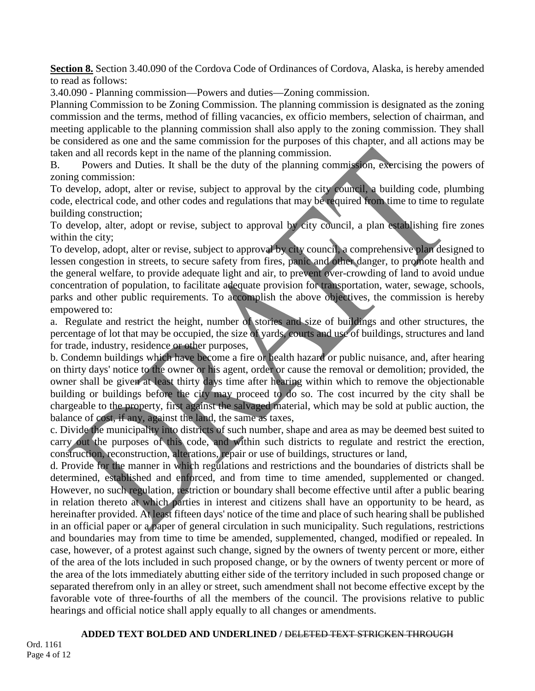**Section 8.** Section 3.40.090 of the Cordova Code of Ordinances of Cordova, Alaska, is hereby amended to read as follows:

3.40.090 - Planning commission—Powers and duties—Zoning commission.

Planning Commission to be Zoning Commission. The planning commission is designated as the zoning commission and the terms, method of filling vacancies, ex officio members, selection of chairman, and meeting applicable to the planning commission shall also apply to the zoning commission. They shall be considered as one and the same commission for the purposes of this chapter, and all actions may be taken and all records kept in the name of the planning commission.

B. Powers and Duties. It shall be the duty of the planning commission, exercising the powers of zoning commission:

To develop, adopt, alter or revise, subject to approval by the city council, a building code, plumbing code, electrical code, and other codes and regulations that may be required from time to time to regulate building construction;

To develop, alter, adopt or revise, subject to approval by city council, a plan establishing fire zones within the city;

To develop, adopt, alter or revise, subject to approval by city council, a comprehensive plan designed to lessen congestion in streets, to secure safety from fires, panic and other danger, to promote health and the general welfare, to provide adequate light and air, to prevent over-crowding of land to avoid undue concentration of population, to facilitate adequate provision for transportation, water, sewage, schools, parks and other public requirements. To accomplish the above objectives, the commission is hereby empowered to:

a. Regulate and restrict the height, number of stories and size of buildings and other structures, the percentage of lot that may be occupied, the size of yards, courts and use of buildings, structures and land for trade, industry, residence or other purposes,

b. Condemn buildings which have become a fire or health hazard or public nuisance, and, after hearing on thirty days' notice to the owner or his agent, order or cause the removal or demolition; provided, the owner shall be given at least thirty days time after hearing within which to remove the objectionable building or buildings before the city may proceed to do so. The cost incurred by the city shall be chargeable to the property, first against the salvaged material, which may be sold at public auction, the balance of cost, if any, against the land, the same as taxes,

c. Divide the municipality into districts of such number, shape and area as may be deemed best suited to carry out the purposes of this code, and within such districts to regulate and restrict the erection, construction, reconstruction, alterations, repair or use of buildings, structures or land,

d. Provide for the manner in which regulations and restrictions and the boundaries of districts shall be determined, established and enforced, and from time to time amended, supplemented or changed. However, no such regulation, restriction or boundary shall become effective until after a public bearing in relation thereto at which parties in interest and citizens shall have an opportunity to be heard, as hereinafter provided. At least fifteen days' notice of the time and place of such hearing shall be published in an official paper or a paper of general circulation in such municipality. Such regulations, restrictions and boundaries may from time to time be amended, supplemented, changed, modified or repealed. In case, however, of a protest against such change, signed by the owners of twenty percent or more, either of the area of the lots included in such proposed change, or by the owners of twenty percent or more of the area of the lots immediately abutting either side of the territory included in such proposed change or separated therefrom only in an alley or street, such amendment shall not become effective except by the favorable vote of three-fourths of all the members of the council. The provisions relative to public hearings and official notice shall apply equally to all changes or amendments.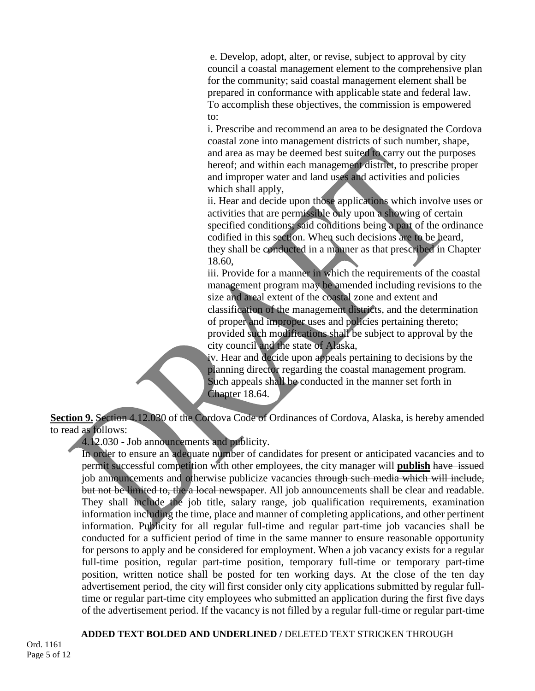e. Develop, adopt, alter, or revise, subject to approval by city council a coastal management element to the comprehensive plan for the community; said coastal management element shall be prepared in conformance with applicable state and federal law. To accomplish these objectives, the commission is empowered to:

i. Prescribe and recommend an area to be designated the Cordova coastal zone into management districts of such number, shape, and area as may be deemed best suited to carry out the purposes hereof; and within each management district, to prescribe proper and improper water and land uses and activities and policies which shall apply,

ii. Hear and decide upon those applications which involve uses or activities that are permissible only upon a showing of certain specified conditions; said conditions being a part of the ordinance codified in this section. When such decisions are to be heard, they shall be conducted in a manner as that prescribed in Chapter 18.60,

iii. Provide for a manner in which the requirements of the coastal management program may be amended including revisions to the size and areal extent of the coastal zone and extent and classification of the management districts, and the determination of proper and improper uses and policies pertaining thereto; provided such modifications shall be subject to approval by the city council and the state of Alaska,

iv. Hear and decide upon appeals pertaining to decisions by the planning director regarding the coastal management program. Such appeals shall be conducted in the manner set forth in Chapter 18.64.

**Section 9.** Section 4.12.030 of the Cordova Code of Ordinances of Cordova, Alaska, is hereby amended to read as follows:

4.12.030 - Job announcements and publicity.

In order to ensure an adequate number of candidates for present or anticipated vacancies and to permit successful competition with other employees, the city manager will **publish** have issued job announcements and otherwise publicize vacancies through such media which will include, but not be limited to, the a local newspaper. All job announcements shall be clear and readable. They shall include the job title, salary range, job qualification requirements, examination information including the time, place and manner of completing applications, and other pertinent information. Publicity for all regular full-time and regular part-time job vacancies shall be conducted for a sufficient period of time in the same manner to ensure reasonable opportunity for persons to apply and be considered for employment. When a job vacancy exists for a regular full-time position, regular part-time position, temporary full-time or temporary part-time position, written notice shall be posted for ten working days. At the close of the ten day advertisement period, the city will first consider only city applications submitted by regular fulltime or regular part-time city employees who submitted an application during the first five days of the advertisement period. If the vacancy is not filled by a regular full-time or regular part-time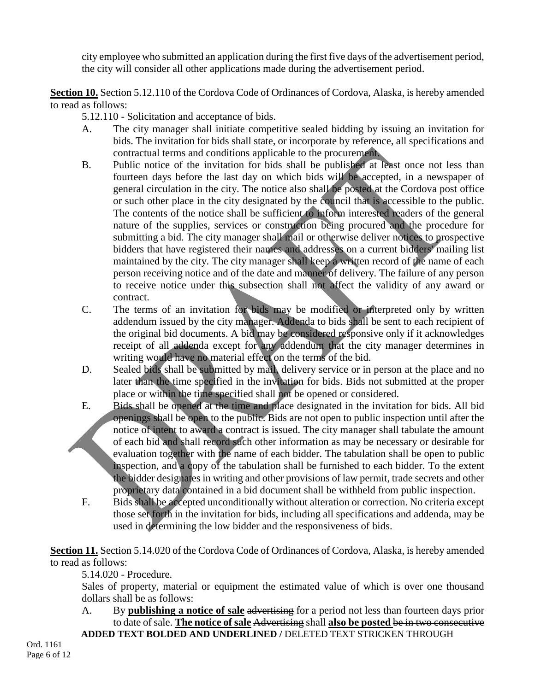city employee who submitted an application during the first five days of the advertisement period, the city will consider all other applications made during the advertisement period.

**Section 10.** Section 5.12.110 of the Cordova Code of Ordinances of Cordova, Alaska, is hereby amended to read as follows:

5.12.110 - Solicitation and acceptance of bids.

- A. The city manager shall initiate competitive sealed bidding by issuing an invitation for bids. The invitation for bids shall state, or incorporate by reference, all specifications and contractual terms and conditions applicable to the procurement.
- B. Public notice of the invitation for bids shall be published at least once not less than fourteen days before the last day on which bids will be accepted, in a newspaper of general circulation in the city. The notice also shall be posted at the Cordova post office or such other place in the city designated by the council that is accessible to the public. The contents of the notice shall be sufficient to inform interested readers of the general nature of the supplies, services or construction being procured and the procedure for submitting a bid. The city manager shall mail or otherwise deliver notices to prospective bidders that have registered their names and addresses on a current bidders' mailing list maintained by the city. The city manager shall keep a written record of the name of each person receiving notice and of the date and manner of delivery. The failure of any person to receive notice under this subsection shall not affect the validity of any award or contract.
- C. The terms of an invitation for bids may be modified or interpreted only by written addendum issued by the city manager. Addenda to bids shall be sent to each recipient of the original bid documents. A bid may be considered responsive only if it acknowledges receipt of all addenda except for any addendum that the city manager determines in writing would have no material effect on the terms of the bid.
- D. Sealed bids shall be submitted by mail, delivery service or in person at the place and no later than the time specified in the invitation for bids. Bids not submitted at the proper place or within the time specified shall not be opened or considered.
- E. Bids shall be opened at the time and place designated in the invitation for bids. All bid openings shall be open to the public. Bids are not open to public inspection until after the notice of intent to award a contract is issued. The city manager shall tabulate the amount of each bid and shall record such other information as may be necessary or desirable for evaluation together with the name of each bidder. The tabulation shall be open to public inspection, and a copy of the tabulation shall be furnished to each bidder. To the extent the bidder designates in writing and other provisions of law permit, trade secrets and other proprietary data contained in a bid document shall be withheld from public inspection.
- F. Bids shall be accepted unconditionally without alteration or correction. No criteria except those set forth in the invitation for bids, including all specifications and addenda, may be used in determining the low bidder and the responsiveness of bids.

**Section 11.** Section 5.14.020 of the Cordova Code of Ordinances of Cordova, Alaska, is hereby amended to read as follows:

5.14.020 - Procedure.

Sales of property, material or equipment the estimated value of which is over one thousand dollars shall be as follows:

A. By **publishing a notice of sale** advertising for a period not less than fourteen days prior to date of sale. **The notice of sale** Advertising shall **also be posted** be in two consecutive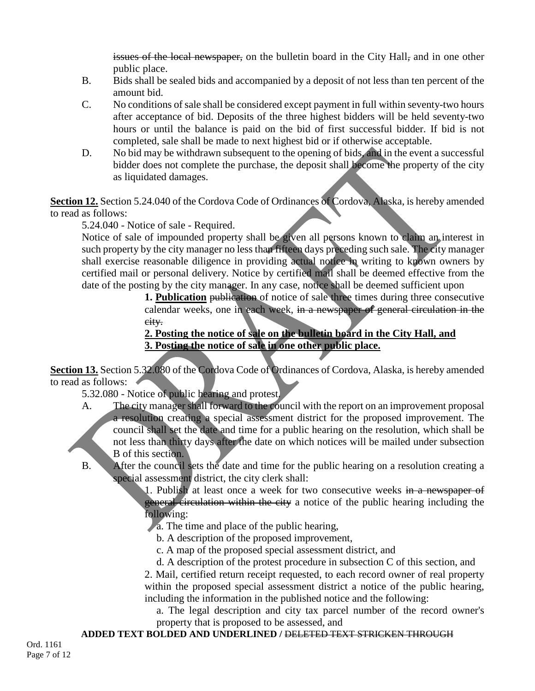issues of the local newspaper, on the bulletin board in the City Hall, and in one other public place.

- B. Bids shall be sealed bids and accompanied by a deposit of not less than ten percent of the amount bid.
- C. No conditions of sale shall be considered except payment in full within seventy-two hours after acceptance of bid. Deposits of the three highest bidders will be held seventy-two hours or until the balance is paid on the bid of first successful bidder. If bid is not completed, sale shall be made to next highest bid or if otherwise acceptable.
- D. No bid may be withdrawn subsequent to the opening of bids, and in the event a successful bidder does not complete the purchase, the deposit shall become the property of the city as liquidated damages.

**Section 12.** Section 5.24.040 of the Cordova Code of Ordinances of Cordova, Alaska, is hereby amended to read as follows:

5.24.040 - Notice of sale - Required.

Notice of sale of impounded property shall be given all persons known to claim an interest in such property by the city manager no less than fifteen days preceding such sale. The city manager shall exercise reasonable diligence in providing actual notice in writing to known owners by certified mail or personal delivery. Notice by certified mail shall be deemed effective from the date of the posting by the city manager. In any case, notice shall be deemed sufficient upon

**1. Publication** publication of notice of sale three times during three consecutive calendar weeks, one in each week, in a newspaper of general circulation in the city.

# **2. Posting the notice of sale on the bulletin board in the City Hall, and 3. Posting the notice of sale in one other public place.**

**Section 13.** Section 5.32.080 of the Cordova Code of Ordinances of Cordova, Alaska, is hereby amended to read as follows:

5.32.080 - Notice of public hearing and protest.

- A. The city manager shall forward to the council with the report on an improvement proposal a resolution creating a special assessment district for the proposed improvement. The council shall set the date and time for a public hearing on the resolution, which shall be not less than thirty days after the date on which notices will be mailed under subsection B of this section.
- B. After the council sets the date and time for the public hearing on a resolution creating a special assessment district, the city clerk shall:

1. Publish at least once a week for two consecutive weeks in a newspaper of general circulation within the city a notice of the public hearing including the following:

- a. The time and place of the public hearing,
	- b. A description of the proposed improvement,
	- c. A map of the proposed special assessment district, and

d. A description of the protest procedure in subsection C of this section, and

2. Mail, certified return receipt requested, to each record owner of real property within the proposed special assessment district a notice of the public hearing, including the information in the published notice and the following:

a. The legal description and city tax parcel number of the record owner's property that is proposed to be assessed, and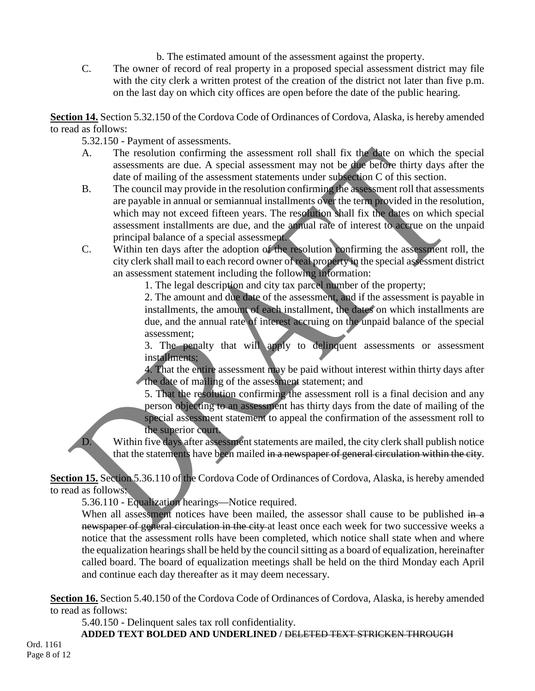b. The estimated amount of the assessment against the property.

C. The owner of record of real property in a proposed special assessment district may file with the city clerk a written protest of the creation of the district not later than five p.m. on the last day on which city offices are open before the date of the public hearing.

**Section 14.** Section 5.32.150 of the Cordova Code of Ordinances of Cordova, Alaska, is hereby amended to read as follows:

- 5.32.150 Payment of assessments.
- A. The resolution confirming the assessment roll shall fix the date on which the special assessments are due. A special assessment may not be due before thirty days after the date of mailing of the assessment statements under subsection C of this section.
- B. The council may provide in the resolution confirming the assessment roll that assessments are payable in annual or semiannual installments over the term provided in the resolution, which may not exceed fifteen years. The resolution shall fix the dates on which special assessment installments are due, and the annual rate of interest to accrue on the unpaid principal balance of a special assessment.
- C. Within ten days after the adoption of the resolution confirming the assessment roll, the city clerk shall mail to each record owner of real property in the special assessment district an assessment statement including the following information:

1. The legal description and city tax parcel number of the property;

2. The amount and due date of the assessment, and if the assessment is payable in installments, the amount of each installment, the dates on which installments are due, and the annual rate of interest accruing on the unpaid balance of the special assessment;

3. The penalty that will apply to delinquent assessments or assessment installments;

4. That the entire assessment may be paid without interest within thirty days after the date of mailing of the assessment statement; and

5. That the resolution confirming the assessment roll is a final decision and any person objecting to an assessment has thirty days from the date of mailing of the special assessment statement to appeal the confirmation of the assessment roll to the superior court.

D. Within five days after assessment statements are mailed, the city clerk shall publish notice that the statements have been mailed in a newspaper of general circulation within the city.

**Section 15.** Section 5.36.110 of the Cordova Code of Ordinances of Cordova, Alaska, is hereby amended to read as follows:

5.36.110 - Equalization hearings—Notice required.

When all assessment notices have been mailed, the assessor shall cause to be published  $\frac{1}{n}$ newspaper of general circulation in the city at least once each week for two successive weeks a notice that the assessment rolls have been completed, which notice shall state when and where the equalization hearings shall be held by the council sitting as a board of equalization, hereinafter called board. The board of equalization meetings shall be held on the third Monday each April and continue each day thereafter as it may deem necessary.

**Section 16.** Section 5.40.150 of the Cordova Code of Ordinances of Cordova, Alaska, is hereby amended to read as follows:

5.40.150 - Delinquent sales tax roll confidentiality.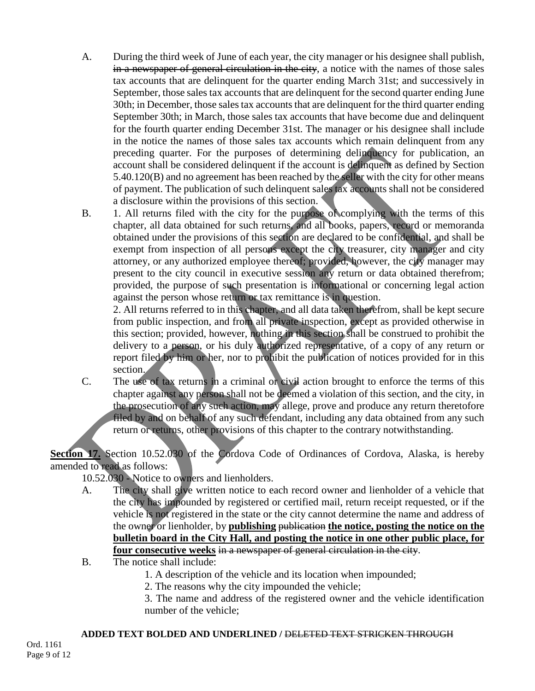- A. During the third week of June of each year, the city manager or his designee shall publish, in a newspaper of general circulation in the city, a notice with the names of those sales tax accounts that are delinquent for the quarter ending March 31st; and successively in September, those sales tax accounts that are delinquent for the second quarter ending June 30th; in December, those sales tax accounts that are delinquent for the third quarter ending September 30th; in March, those sales tax accounts that have become due and delinquent for the fourth quarter ending December 31st. The manager or his designee shall include in the notice the names of those sales tax accounts which remain delinquent from any preceding quarter. For the purposes of determining delinquency for publication, an account shall be considered delinquent if the account is delinquent as defined by Section 5.40.120(B) and no agreement has been reached by the seller with the city for other means of payment. The publication of such delinquent sales tax accounts shall not be considered a disclosure within the provisions of this section.
- B. 1. All returns filed with the city for the purpose of complying with the terms of this chapter, all data obtained for such returns, and all books, papers, record or memoranda obtained under the provisions of this section are declared to be confidential, and shall be exempt from inspection of all persons except the city treasurer, city manager and city attorney, or any authorized employee thereof; provided, however, the city manager may present to the city council in executive session any return or data obtained therefrom; provided, the purpose of such presentation is informational or concerning legal action against the person whose return or tax remittance is in question.

2. All returns referred to in this chapter, and all data taken therefrom, shall be kept secure from public inspection, and from all private inspection, except as provided otherwise in this section; provided, however, nothing in this section shall be construed to prohibit the delivery to a person, or his duly authorized representative, of a copy of any return or report filed by him or her, nor to prohibit the publication of notices provided for in this section.

C. The use of tax returns in a criminal or civil action brought to enforce the terms of this chapter against any person shall not be deemed a violation of this section, and the city, in the prosecution of any such action, may allege, prove and produce any return theretofore filed by and on behalf of any such defendant, including any data obtained from any such return or returns, other provisions of this chapter to the contrary notwithstanding.

Section 17. Section 10.52.030 of the Cordova Code of Ordinances of Cordova, Alaska, is hereby amended to read as follows:

10.52.030 - Notice to owners and lienholders.

- A. The city shall give written notice to each record owner and lienholder of a vehicle that the city has impounded by registered or certified mail, return receipt requested, or if the vehicle is not registered in the state or the city cannot determine the name and address of the owner or lienholder, by **publishing** publication **the notice, posting the notice on the bulletin board in the City Hall, and posting the notice in one other public place, for four consecutive weeks** in a newspaper of general circulation in the city.
- B. The notice shall include:
	- 1. A description of the vehicle and its location when impounded;
	- 2. The reasons why the city impounded the vehicle;
	- 3. The name and address of the registered owner and the vehicle identification number of the vehicle;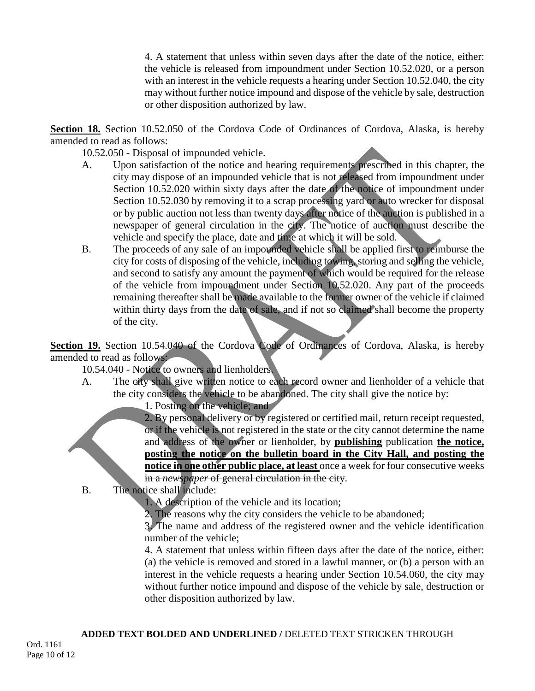4. A statement that unless within seven days after the date of the notice, either: the vehicle is released from impoundment under Section 10.52.020, or a person with an interest in the vehicle requests a hearing under Section 10.52.040, the city may without further notice impound and dispose of the vehicle by sale, destruction or other disposition authorized by law.

**Section 18.** Section 10.52.050 of the Cordova Code of Ordinances of Cordova, Alaska, is hereby amended to read as follows:

10.52.050 - Disposal of impounded vehicle.

- A. Upon satisfaction of the notice and hearing requirements prescribed in this chapter, the city may dispose of an impounded vehicle that is not released from impoundment under Section 10.52.020 within sixty days after the date of the notice of impoundment under Section 10.52.030 by removing it to a scrap processing yard or auto wrecker for disposal or by public auction not less than twenty days after notice of the auction is published  $\frac{1}{\ln a}$ newspaper of general circulation in the city. The notice of auction must describe the vehicle and specify the place, date and time at which it will be sold.
- B. The proceeds of any sale of an impounded vehicle shall be applied first to reimburse the city for costs of disposing of the vehicle, including towing, storing and selling the vehicle, and second to satisfy any amount the payment of which would be required for the release of the vehicle from impoundment under Section 10.52.020. Any part of the proceeds remaining thereafter shall be made available to the former owner of the vehicle if claimed within thirty days from the date of sale, and if not so claimed shall become the property of the city.

Section 19. Section 10.54.040 of the Cordova Code of Ordinances of Cordova, Alaska, is hereby amended to read as follows:

- 10.54.040 Notice to owners and lienholders.
- A. The city shall give written notice to each record owner and lienholder of a vehicle that the city considers the vehicle to be abandoned. The city shall give the notice by:
	- 1. Posting on the vehicle; and

2. By personal delivery or by registered or certified mail, return receipt requested, or if the vehicle is not registered in the state or the city cannot determine the name and address of the owner or lienholder, by **publishing** publication **the notice, posting the notice on the bulletin board in the City Hall, and posting the notice in one other public place, at least** once a week for four consecutive weeks in a *newspaper* of general circulation in the city.

B. The notice shall include:

1. A description of the vehicle and its location;

2. The reasons why the city considers the vehicle to be abandoned;

3. The name and address of the registered owner and the vehicle identification number of the vehicle;

4. A statement that unless within fifteen days after the date of the notice, either: (a) the vehicle is removed and stored in a lawful manner, or (b) a person with an interest in the vehicle requests a hearing under Section 10.54.060, the city may without further notice impound and dispose of the vehicle by sale, destruction or other disposition authorized by law.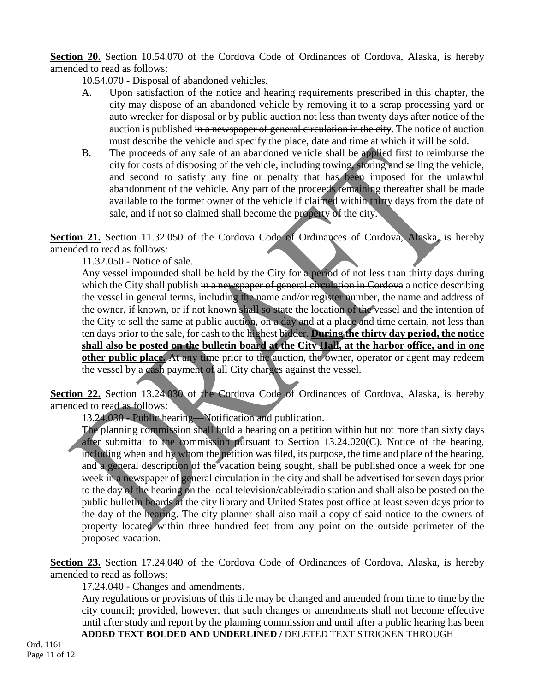**Section 20.** Section 10.54.070 of the Cordova Code of Ordinances of Cordova, Alaska, is hereby amended to read as follows:

10.54.070 - Disposal of abandoned vehicles.

- A. Upon satisfaction of the notice and hearing requirements prescribed in this chapter, the city may dispose of an abandoned vehicle by removing it to a scrap processing yard or auto wrecker for disposal or by public auction not less than twenty days after notice of the auction is published in a newspaper of general circulation in the city. The notice of auction must describe the vehicle and specify the place, date and time at which it will be sold.
- B. The proceeds of any sale of an abandoned vehicle shall be applied first to reimburse the city for costs of disposing of the vehicle, including towing, storing and selling the vehicle, and second to satisfy any fine or penalty that has been imposed for the unlawful abandonment of the vehicle. Any part of the proceeds remaining thereafter shall be made available to the former owner of the vehicle if claimed within thirty days from the date of sale, and if not so claimed shall become the property of the city.

Section 21. Section 11.32.050 of the Cordova Code of Ordinances of Cordova, Alaska, is hereby amended to read as follows:

11.32.050 - Notice of sale.

Any vessel impounded shall be held by the City for a period of not less than thirty days during which the City shall publish in a newspaper of general circulation in Cordova a notice describing the vessel in general terms, including the name and/or register number, the name and address of the owner, if known, or if not known shall so state the location of the vessel and the intention of the City to sell the same at public auction, on a day and at a place and time certain, not less than ten days prior to the sale, for cash to the highest bidder. **During the thirty day period, the notice shall also be posted on the bulletin board at the City Hall, at the harbor office, and in one other public place.** At any time prior to the auction, the owner, operator or agent may redeem the vessel by a cash payment of all City charges against the vessel.

Section 22. Section 13.24.030 of the Cordova Code of Ordinances of Cordova, Alaska, is hereby amended to read as follows:

13.24.030 - Public hearing—Notification and publication.

The planning commission shall hold a hearing on a petition within but not more than sixty days after submittal to the commission pursuant to Section 13.24.020(C). Notice of the hearing, including when and by whom the petition was filed, its purpose, the time and place of the hearing, and a general description of the vacation being sought, shall be published once a week for one week in a newspaper of general circulation in the city and shall be advertised for seven days prior to the day of the hearing on the local television/cable/radio station and shall also be posted on the public bulletin boards at the city library and United States post office at least seven days prior to the day of the hearing. The city planner shall also mail a copy of said notice to the owners of property located within three hundred feet from any point on the outside perimeter of the proposed vacation.

**Section 23.** Section 17.24.040 of the Cordova Code of Ordinances of Cordova, Alaska, is hereby amended to read as follows:

17.24.040 - Changes and amendments.

**ADDED TEXT BOLDED AND UNDERLINED /** DELETED TEXT STRICKEN THROUGH Any regulations or provisions of this title may be changed and amended from time to time by the city council; provided, however, that such changes or amendments shall not become effective until after study and report by the planning commission and until after a public hearing has been

Ord. 1161 Page 11 of 12